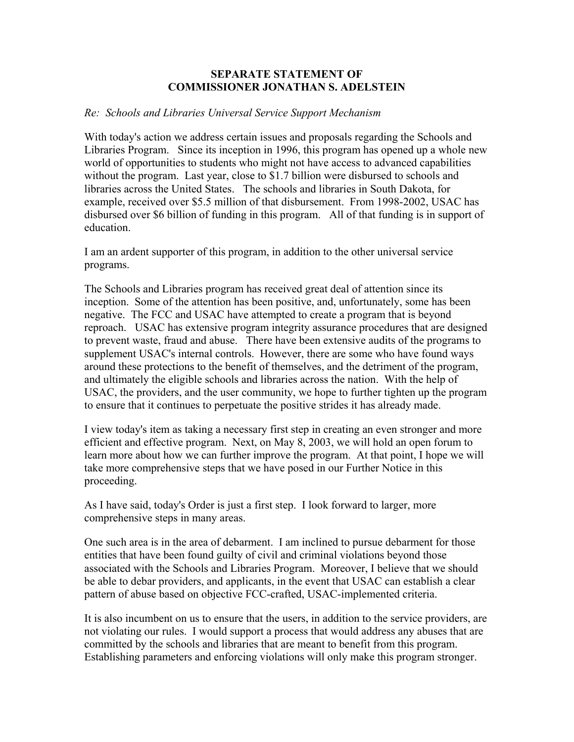## **SEPARATE STATEMENT OF COMMISSIONER JONATHAN S. ADELSTEIN**

## *Re: Schools and Libraries Universal Service Support Mechanism*

With today's action we address certain issues and proposals regarding the Schools and Libraries Program. Since its inception in 1996, this program has opened up a whole new world of opportunities to students who might not have access to advanced capabilities without the program. Last year, close to \$1.7 billion were disbursed to schools and libraries across the United States. The schools and libraries in South Dakota, for example, received over \$5.5 million of that disbursement. From 1998-2002, USAC has disbursed over \$6 billion of funding in this program. All of that funding is in support of education.

I am an ardent supporter of this program, in addition to the other universal service programs.

The Schools and Libraries program has received great deal of attention since its inception. Some of the attention has been positive, and, unfortunately, some has been negative. The FCC and USAC have attempted to create a program that is beyond reproach. USAC has extensive program integrity assurance procedures that are designed to prevent waste, fraud and abuse. There have been extensive audits of the programs to supplement USAC's internal controls. However, there are some who have found ways around these protections to the benefit of themselves, and the detriment of the program, and ultimately the eligible schools and libraries across the nation. With the help of USAC, the providers, and the user community, we hope to further tighten up the program to ensure that it continues to perpetuate the positive strides it has already made.

I view today's item as taking a necessary first step in creating an even stronger and more efficient and effective program. Next, on May 8, 2003, we will hold an open forum to learn more about how we can further improve the program. At that point, I hope we will take more comprehensive steps that we have posed in our Further Notice in this proceeding.

As I have said, today's Order is just a first step. I look forward to larger, more comprehensive steps in many areas.

One such area is in the area of debarment. I am inclined to pursue debarment for those entities that have been found guilty of civil and criminal violations beyond those associated with the Schools and Libraries Program. Moreover, I believe that we should be able to debar providers, and applicants, in the event that USAC can establish a clear pattern of abuse based on objective FCC-crafted, USAC-implemented criteria.

It is also incumbent on us to ensure that the users, in addition to the service providers, are not violating our rules. I would support a process that would address any abuses that are committed by the schools and libraries that are meant to benefit from this program. Establishing parameters and enforcing violations will only make this program stronger.